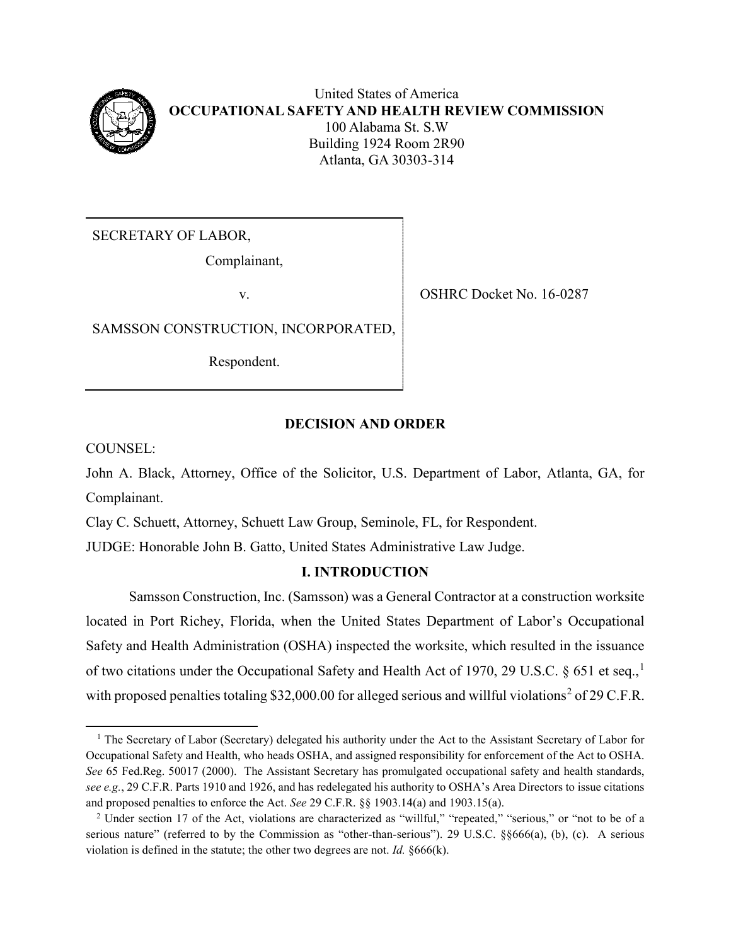

United States of America **OCCUPATIONAL SAFETY AND HEALTH REVIEW COMMISSION** 100 Alabama St. S.W Building 1924 Room 2R90 Atlanta, GA 30303-314

SECRETARY OF LABOR,

Complainant,

v. SHRC Docket No. 16-0287

SAMSSON CONSTRUCTION, INCORPORATED,

Respondent.

## **DECISION AND ORDER**

COUNSEL:

John A. Black, Attorney, Office of the Solicitor, U.S. Department of Labor, Atlanta, GA, for Complainant.

Clay C. Schuett, Attorney, Schuett Law Group, Seminole, FL, for Respondent.

JUDGE: Honorable John B. Gatto, United States Administrative Law Judge.

# **I. INTRODUCTION**

Samsson Construction, Inc. (Samsson) was a General Contractor at a construction worksite located in Port Richey, Florida, when the United States Department of Labor's Occupational Safety and Health Administration (OSHA) inspected the worksite, which resulted in the issuance of two citations under the Occupational Safety and Health Act of [1](#page-0-0)970, 29 U.S.C. § 651 et seq.,<sup>1</sup> with proposed penalties totaling \$3[2](#page-0-1),000.00 for alleged serious and willful violations<sup>2</sup> of 29 C.F.R.

<span id="page-0-0"></span> $\overline{\phantom{a}}$ <sup>1</sup> The Secretary of Labor (Secretary) delegated his authority under the Act to the Assistant Secretary of Labor for Occupational Safety and Health, who heads OSHA, and assigned responsibility for enforcement of the Act to OSHA. *See* 65 Fed.Reg. 50017 (2000). The Assistant Secretary has promulgated occupational safety and health standards, *see e.g.*, 29 C.F.R. Parts 1910 and 1926, and has redelegated his authority to OSHA's Area Directors to issue citations and proposed penalties to enforce the Act. *See* 29 C.F.R. §§ 1903.14(a) and 1903.15(a).

<span id="page-0-1"></span><sup>&</sup>lt;sup>2</sup> Under section 17 of the Act, violations are characterized as "willful," "repeated," "serious," or "not to be of a serious nature" (referred to by the Commission as "other-than-serious"). 29 U.S.C. §§666(a), (b), (c). A serious violation is defined in the statute; the other two degrees are not. *Id.* §666(k).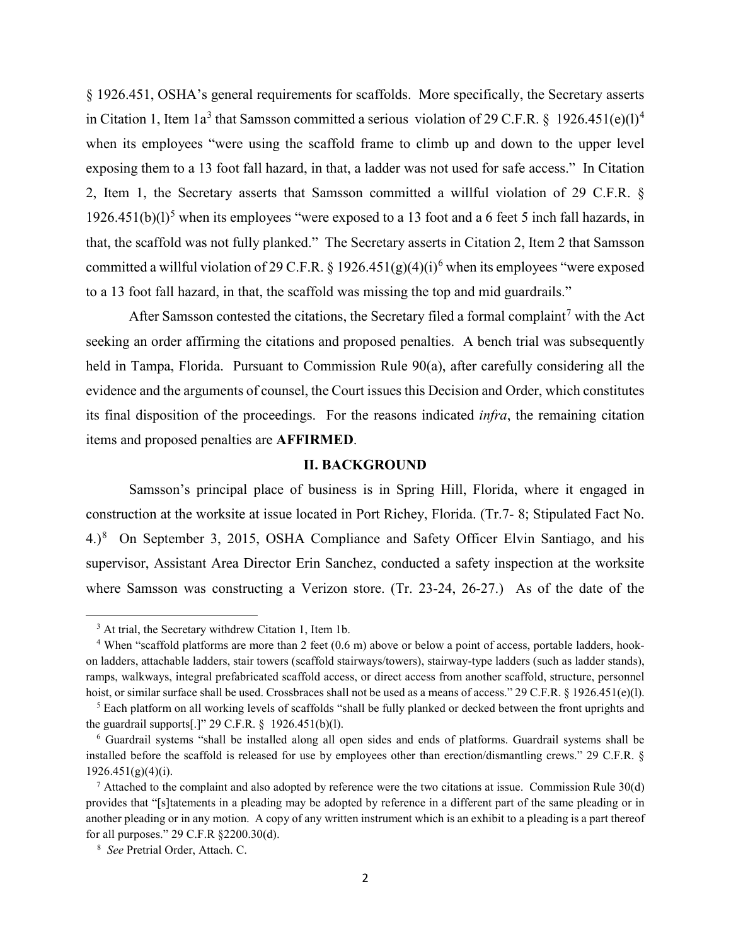§ 1926.451, OSHA's general requirements for scaffolds. More specifically, the Secretary asserts in Citation 1, Item 1a<sup>[3](#page-1-0)</sup> that Samsson committed a serious violation of 29 C.F.R. § 1926.[4](#page-1-1)51(e)(1)<sup>4</sup> when its employees "were using the scaffold frame to climb up and down to the upper level exposing them to a 13 foot fall hazard, in that, a ladder was not used for safe access." In Citation 2, Item 1, the Secretary asserts that Samsson committed a willful violation of 29 C.F.R. §  $1926.451(b)(1)^5$  $1926.451(b)(1)^5$  $1926.451(b)(1)^5$  when its employees "were exposed to a 13 foot and a 6 feet 5 inch fall hazards, in that, the scaffold was not fully planked." The Secretary asserts in Citation 2, Item 2 that Samsson committed a willful violation of 29 C.F.R. § 192[6](#page-1-3).451(g)(4)(i)<sup>6</sup> when its employees "were exposed to a 13 foot fall hazard, in that, the scaffold was missing the top and mid guardrails."

After Samsson contested the citations, the Secretary filed a formal complaint<sup>[7](#page-1-4)</sup> with the Act seeking an order affirming the citations and proposed penalties. A bench trial was subsequently held in Tampa, Florida. Pursuant to Commission Rule 90(a), after carefully considering all the evidence and the arguments of counsel, the Court issues this Decision and Order, which constitutes its final disposition of the proceedings. For the reasons indicated *infra*, the remaining citation items and proposed penalties are **AFFIRMED**.

#### **II. BACKGROUND**

 Samsson's principal place of business is in Spring Hill, Florida, where it engaged in construction at the worksite at issue located in Port Richey, Florida. (Tr.7- 8; Stipulated Fact No. 4.)<sup>[8](#page-1-5)</sup> On September 3, 2015, OSHA Compliance and Safety Officer Elvin Santiago, and his supervisor, Assistant Area Director Erin Sanchez, conducted a safety inspection at the worksite where Samsson was constructing a Verizon store. (Tr. 23-24, 26-27.) As of the date of the

 $\overline{\phantom{a}}$ 

<sup>&</sup>lt;sup>3</sup> At trial, the Secretary withdrew Citation 1, Item 1b.

<span id="page-1-1"></span><span id="page-1-0"></span><sup>&</sup>lt;sup>4</sup> When "scaffold platforms are more than 2 feet (0.6 m) above or below a point of access, portable ladders, hookon ladders, attachable ladders, stair towers (scaffold stairways/towers), stairway-type ladders (such as ladder stands), ramps, walkways, integral prefabricated scaffold access, or direct access from another scaffold, structure, personnel hoist, or similar surface shall be used. Crossbraces shall not be used as a means of access." 29 C.F.R. § 1926.451(e)(1).

<span id="page-1-2"></span><sup>&</sup>lt;sup>5</sup> Each platform on all working levels of scaffolds "shall be fully planked or decked between the front uprights and the guardrail supports[.]" 29 C.F.R. § 1926.451(b)(l).

<span id="page-1-3"></span><sup>6</sup> Guardrail systems "shall be installed along all open sides and ends of platforms. Guardrail systems shall be installed before the scaffold is released for use by employees other than erection/dismantling crews." 29 C.F.R. §  $1926.451(g)(4)(i)$ .

<span id="page-1-4"></span> $7$  Attached to the complaint and also adopted by reference were the two citations at issue. Commission Rule  $30(d)$ provides that "[s]tatements in a pleading may be adopted by reference in a different part of the same pleading or in another pleading or in any motion. A copy of any written instrument which is an exhibit to a pleading is a part thereof for all purposes." 29 C.F.R §2200.30(d).

<span id="page-1-5"></span><sup>8</sup> *See* Pretrial Order, Attach. C.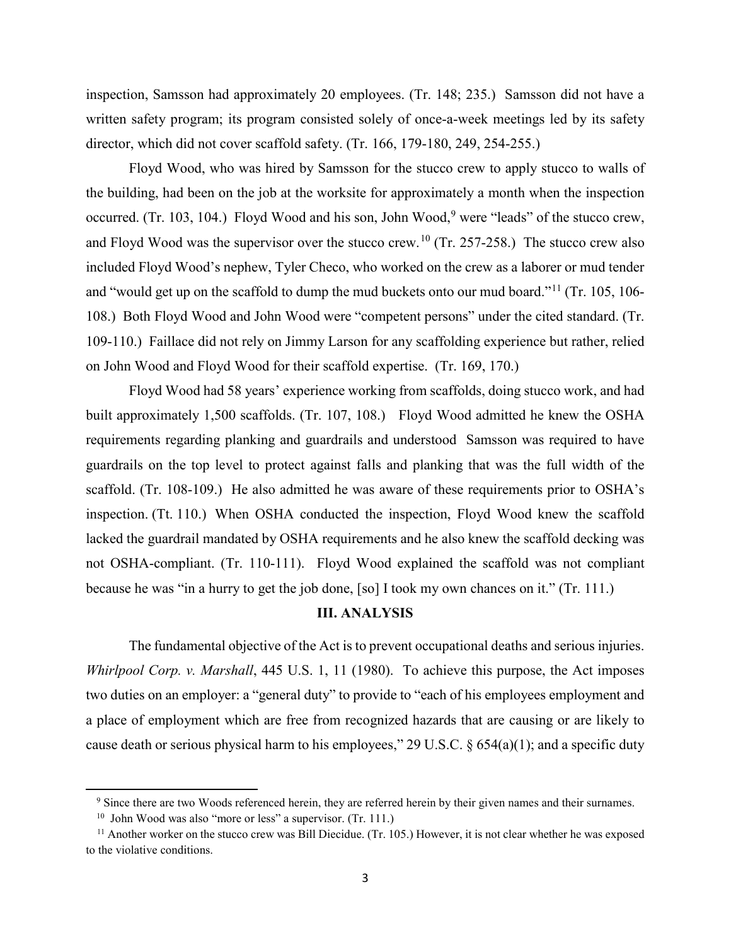inspection, Samsson had approximately 20 employees. (Tr. 148; 235.) Samsson did not have a written safety program; its program consisted solely of once-a-week meetings led by its safety director, which did not cover scaffold safety. (Tr. 166, 179-180, 249, 254-255.)

Floyd Wood, who was hired by Samsson for the stucco crew to apply stucco to walls of the building, had been on the job at the worksite for approximately a month when the inspection occurred. (Tr. 103, 104.) Floyd Wood and his son, John Wood, <sup>[9](#page-2-0)</sup> were "leads" of the stucco crew, and Floyd Wood was the supervisor over the stucco crew.<sup>[10](#page-2-1)</sup> (Tr. 257-258.) The stucco crew also included Floyd Wood's nephew, Tyler Checo, who worked on the crew as a laborer or mud tender and "would get up on the scaffold to dump the mud buckets onto our mud board."<sup>[11](#page-2-2)</sup> (Tr. 105, 106-108.) Both Floyd Wood and John Wood were "competent persons" under the cited standard. (Tr. 109-110.) Faillace did not rely on Jimmy Larson for any scaffolding experience but rather, relied on John Wood and Floyd Wood for their scaffold expertise. (Tr. 169, 170.)

Floyd Wood had 58 years' experience working from scaffolds, doing stucco work, and had built approximately 1,500 scaffolds. (Tr. 107, 108.) Floyd Wood admitted he knew the OSHA requirements regarding planking and guardrails and understood Samsson was required to have guardrails on the top level to protect against falls and planking that was the full width of the scaffold. (Tr. 108-109.) He also admitted he was aware of these requirements prior to OSHA's inspection. (Tt. 110.) When OSHA conducted the inspection, Floyd Wood knew the scaffold lacked the guardrail mandated by OSHA requirements and he also knew the scaffold decking was not OSHA-compliant. (Tr. 110-111). Floyd Wood explained the scaffold was not compliant because he was "in a hurry to get the job done, [so] I took my own chances on it." (Tr. 111.)

#### **III. ANALYSIS**

The fundamental objective of the Act is to prevent occupational deaths and serious injuries. *Whirlpool Corp. v. Marshall*, 445 U.S. 1, 11 (1980). To achieve this purpose, the Act imposes two duties on an employer: a "general duty" to provide to "each of his employees employment and a place of employment which are free from recognized hazards that are causing or are likely to cause death or serious physical harm to his employees," 29 U.S.C. § 654(a)(1); and a specific duty

<span id="page-2-0"></span>l

<sup>&</sup>lt;sup>9</sup> Since there are two Woods referenced herein, they are referred herein by their given names and their surnames.

<sup>&</sup>lt;sup>10</sup> John Wood was also "more or less" a supervisor. (Tr. 111.)

<span id="page-2-2"></span><span id="page-2-1"></span><sup>&</sup>lt;sup>11</sup> Another worker on the stucco crew was Bill Diecidue. (Tr. 105.) However, it is not clear whether he was exposed to the violative conditions.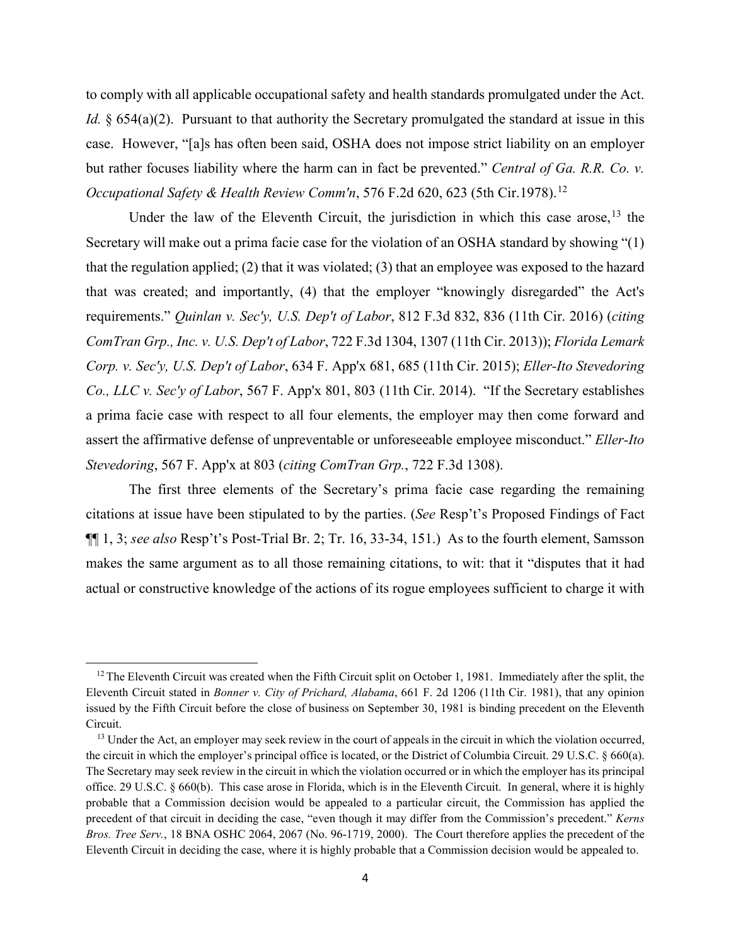to comply with all applicable occupational safety and health standards promulgated under the Act. *Id.* § 654(a)(2). Pursuant to that authority the Secretary promulgated the standard at issue in this case. However, "[a]s has often been said, OSHA does not impose strict liability on an employer but rather focuses liability where the harm can in fact be prevented." *Central of Ga. R.R. Co. v. Occupational Safety & Health Review Comm'n, 576 F.2d 620, 623 (5th Cir.1978).*<sup>[12](#page-3-0)</sup>

Under the law of the Eleventh Circuit, the jurisdiction in which this case arose,  $13$  the Secretary will make out a prima facie case for the violation of an OSHA standard by showing "(1) that the regulation applied; (2) that it was violated; (3) that an employee was exposed to the hazard that was created; and importantly, (4) that the employer "knowingly disregarded" the Act's requirements." *Quinlan v. Sec'y, U.S. Dep't of Labor*, 812 F.3d 832, 836 (11th Cir. 2016) (*citing ComTran Grp., Inc. v. U.S. Dep't of Labor*, 722 F.3d 1304, 1307 (11th Cir. 2013)); *Florida Lemark Corp. v. Sec'y, U.S. Dep't of Labor*, 634 F. App'x 681, 685 (11th Cir. 2015); *Eller-Ito Stevedoring Co., LLC v. Sec'y of Labor*, 567 F. App'x 801, 803 (11th Cir. 2014). "If the Secretary establishes a prima facie case with respect to all four elements, the employer may then come forward and assert the affirmative defense of unpreventable or unforeseeable employee misconduct." *Eller-Ito Stevedoring*, 567 F. App'x at 803 (*citing ComTran Grp.*, 722 F.3d 1308).

The first three elements of the Secretary's prima facie case regarding the remaining citations at issue have been stipulated to by the parties. (*See* Resp't's Proposed Findings of Fact ¶¶ 1, 3; *see also* Resp't's Post-Trial Br. 2; Tr. 16, 33-34, 151.) As to the fourth element, Samsson makes the same argument as to all those remaining citations, to wit: that it "disputes that it had actual or constructive knowledge of the actions of its rogue employees sufficient to charge it with

 $\overline{\phantom{a}}$ 

<span id="page-3-0"></span> $12$  The Eleventh Circuit was created when the Fifth Circuit split on October 1, 1981. Immediately after the split, the Eleventh Circuit stated in *Bonner v. City of Prichard, Alabama*, 661 F. 2d 1206 (11th Cir. 1981), that any opinion issued by the Fifth Circuit before the close of business on September 30, 1981 is binding precedent on the Eleventh Circuit. 13 Under the Act, an employer may seek review in the court of appeals in the circuit in which the violation occurred,

<span id="page-3-1"></span>the circuit in which the employer's principal office is located, or the District of Columbia Circuit. 29 U.S.C. § 660(a). The Secretary may seek review in the circuit in which the violation occurred or in which the employer has its principal office. 29 U.S.C. § 660(b). This case arose in Florida, which is in the Eleventh Circuit. In general, where it is highly probable that a Commission decision would be appealed to a particular circuit, the Commission has applied the precedent of that circuit in deciding the case, "even though it may differ from the Commission's precedent." *Kerns Bros. Tree Serv.*, 18 BNA OSHC 2064, 2067 (No. 96-1719, 2000). The Court therefore applies the precedent of the Eleventh Circuit in deciding the case, where it is highly probable that a Commission decision would be appealed to.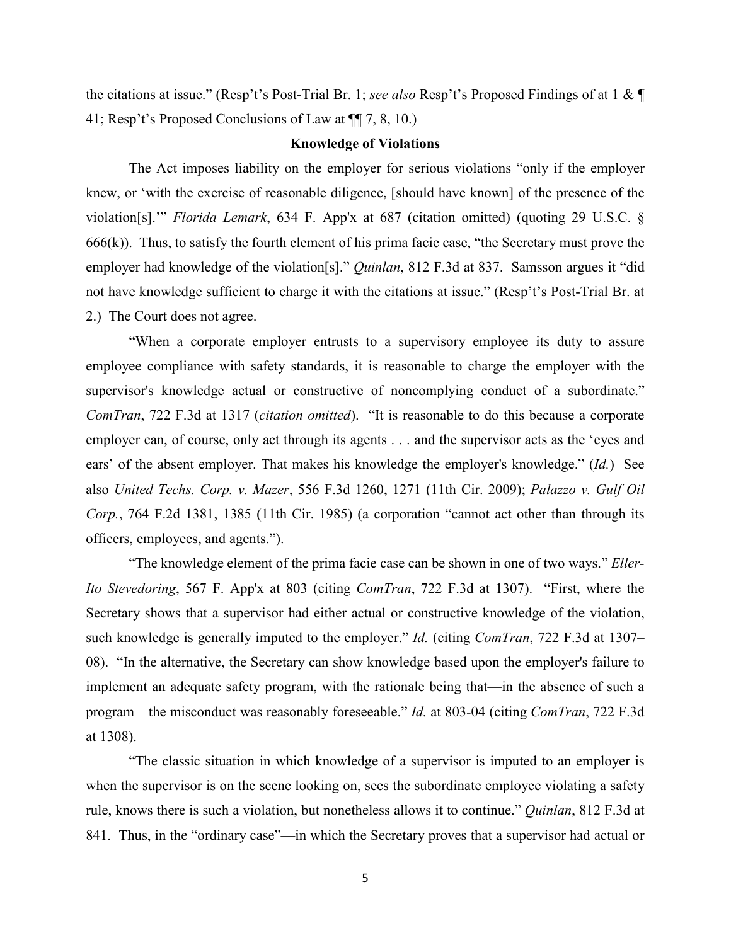the citations at issue." (Resp't's Post-Trial Br. 1; *see also* Resp't's Proposed Findings of at 1 & ¶ 41; Resp't's Proposed Conclusions of Law at ¶¶ 7, 8, 10.)

#### **Knowledge of Violations**

The Act imposes liability on the employer for serious violations "only if the employer knew, or 'with the exercise of reasonable diligence, [should have known] of the presence of the violation[s].'" *Florida Lemark*, 634 F. App'x at 687 (citation omitted) (quoting 29 U.S.C. §  $666(k)$ ). Thus, to satisfy the fourth element of his prima facie case, "the Secretary must prove the employer had knowledge of the violation[s]." *Quinlan*, 812 F.3d at 837. Samsson argues it "did not have knowledge sufficient to charge it with the citations at issue." (Resp't's Post-Trial Br. at 2.) The Court does not agree.

"When a corporate employer entrusts to a supervisory employee its duty to assure employee compliance with safety standards, it is reasonable to charge the employer with the supervisor's knowledge actual or constructive of noncomplying conduct of a subordinate." *ComTran*, 722 F.3d at 1317 (*citation omitted*). "It is reasonable to do this because a corporate employer can, of course, only act through its agents . . . and the supervisor acts as the 'eyes and ears' of the absent employer. That makes his knowledge the employer's knowledge." (*Id.*) See also *United Techs. Corp. v. Mazer*, 556 F.3d 1260, 1271 (11th Cir. 2009); *Palazzo v. Gulf Oil Corp.*, 764 F.2d 1381, 1385 (11th Cir. 1985) (a corporation "cannot act other than through its officers, employees, and agents.").

"The knowledge element of the prima facie case can be shown in one of two ways." *Eller-Ito Stevedoring*, 567 F. App'x at 803 (citing *ComTran*, 722 F.3d at 1307). "First, where the Secretary shows that a supervisor had either actual or constructive knowledge of the violation, such knowledge is generally imputed to the employer." *Id.* (citing *ComTran*, 722 F.3d at 1307– 08). "In the alternative, the Secretary can show knowledge based upon the employer's failure to implement an adequate safety program, with the rationale being that—in the absence of such a program—the misconduct was reasonably foreseeable." *Id.* at 803-04 (citing *ComTran*, 722 F.3d at 1308).

"The classic situation in which knowledge of a supervisor is imputed to an employer is when the supervisor is on the scene looking on, sees the subordinate employee violating a safety rule, knows there is such a violation, but nonetheless allows it to continue." *Quinlan*, 812 F.3d at 841. Thus, in the "ordinary case"—in which the Secretary proves that a supervisor had actual or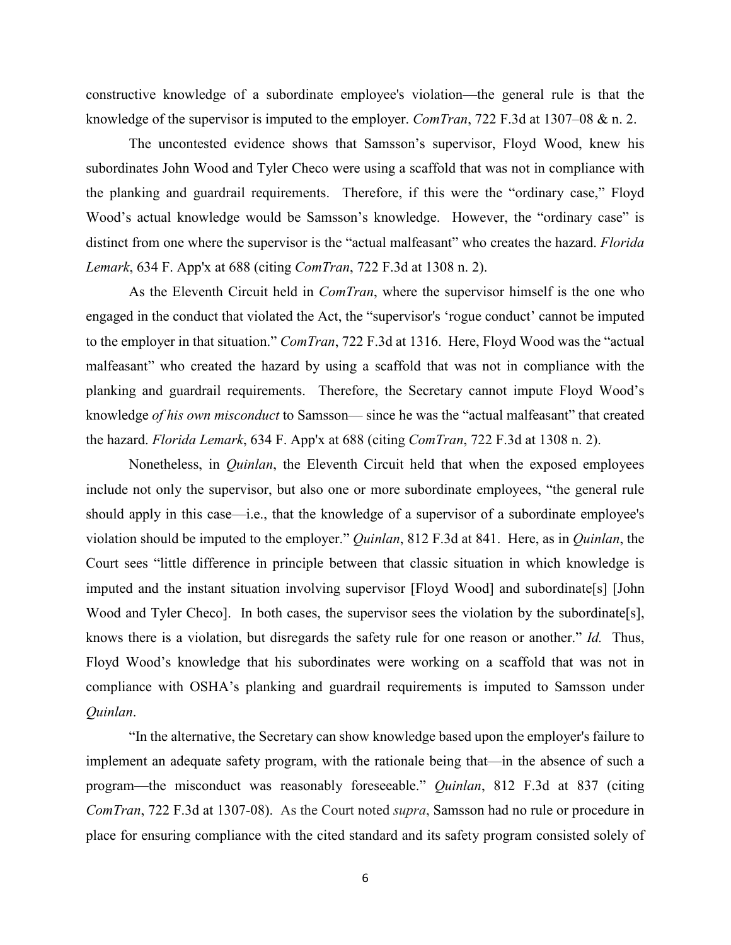constructive knowledge of a subordinate employee's violation—the general rule is that the knowledge of the supervisor is imputed to the employer. *ComTran*, 722 F.3d at 1307–08 & n. 2.

The uncontested evidence shows that Samsson's supervisor, Floyd Wood, knew his subordinates John Wood and Tyler Checo were using a scaffold that was not in compliance with the planking and guardrail requirements. Therefore, if this were the "ordinary case," Floyd Wood's actual knowledge would be Samsson's knowledge. However, the "ordinary case" is distinct from one where the supervisor is the "actual malfeasant" who creates the hazard. *Florida Lemark*, 634 F. App'x at 688 (citing *ComTran*, 722 F.3d at 1308 n. 2).

As the Eleventh Circuit held in *ComTran*, where the supervisor himself is the one who engaged in the conduct that violated the Act, the "supervisor's 'rogue conduct' cannot be imputed to the employer in that situation." *ComTran*, 722 F.3d at 1316. Here, Floyd Wood was the "actual malfeasant" who created the hazard by using a scaffold that was not in compliance with the planking and guardrail requirements. Therefore, the Secretary cannot impute Floyd Wood's knowledge *of his own misconduct* to Samsson— since he was the "actual malfeasant" that created the hazard. *Florida Lemark*, 634 F. App'x at 688 (citing *ComTran*, 722 F.3d at 1308 n. 2).

Nonetheless, in *Quinlan*, the Eleventh Circuit held that when the exposed employees include not only the supervisor, but also one or more subordinate employees, "the general rule should apply in this case—i.e., that the knowledge of a supervisor of a subordinate employee's violation should be imputed to the employer." *Quinlan*, 812 F.3d at 841. Here, as in *Quinlan*, the Court sees "little difference in principle between that classic situation in which knowledge is imputed and the instant situation involving supervisor [Floyd Wood] and subordinate[s] [John Wood and Tyler Checo]. In both cases, the supervisor sees the violation by the subordinate[s], knows there is a violation, but disregards the safety rule for one reason or another." *Id.* Thus, Floyd Wood's knowledge that his subordinates were working on a scaffold that was not in compliance with OSHA's planking and guardrail requirements is imputed to Samsson under *Quinlan*.

"In the alternative, the Secretary can show knowledge based upon the employer's failure to implement an adequate safety program, with the rationale being that—in the absence of such a program—the misconduct was reasonably foreseeable." *Quinlan*, 812 F.3d at 837 (citing *ComTran*, 722 F.3d at 1307-08). As the Court noted *supra*, Samsson had no rule or procedure in place for ensuring compliance with the cited standard and its safety program consisted solely of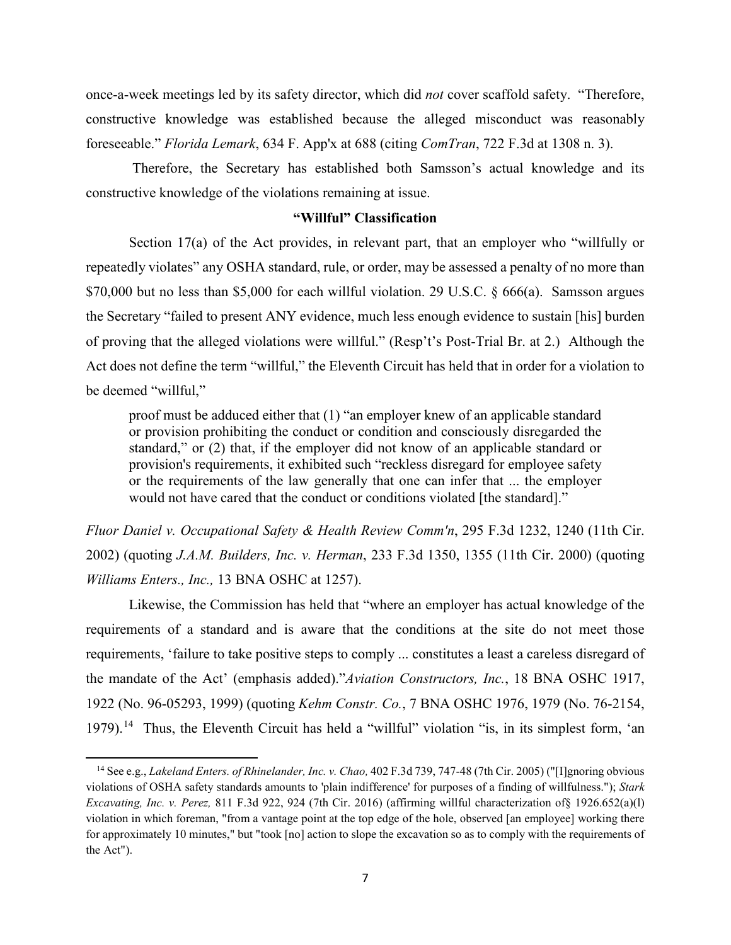once-a-week meetings led by its safety director, which did *not* cover scaffold safety. "Therefore, constructive knowledge was established because the alleged misconduct was reasonably foreseeable." *Florida Lemark*, 634 F. App'x at 688 (citing *ComTran*, 722 F.3d at 1308 n. 3).

Therefore, the Secretary has established both Samsson's actual knowledge and its constructive knowledge of the violations remaining at issue.

### **"Willful" Classification**

Section 17(a) of the Act provides, in relevant part, that an employer who "willfully or repeatedly violates" any OSHA standard, rule, or order, may be assessed a penalty of no more than \$70,000 but no less than \$5,000 for each willful violation. 29 U.S.C. § 666(a). Samsson argues the Secretary "failed to present ANY evidence, much less enough evidence to sustain [his] burden of proving that the alleged violations were willful." (Resp't's Post-Trial Br. at 2.) Although the Act does not define the term "willful," the Eleventh Circuit has held that in order for a violation to be deemed "willful,"

proof must be adduced either that (1) "an employer knew of an applicable standard or provision prohibiting the conduct or condition and consciously disregarded the standard," or (2) that, if the employer did not know of an applicable standard or provision's requirements, it exhibited such "reckless disregard for employee safety or the requirements of the law generally that one can infer that ... the employer would not have cared that the conduct or conditions violated [the standard]."

*Fluor Daniel v. Occupational Safety & Health Review Comm'n*, 295 F.3d 1232, 1240 (11th Cir. 2002) (quoting *J.A.M. Builders, Inc. v. Herman*, 233 F.3d 1350, 1355 (11th Cir. 2000) (quoting *Williams Enters., Inc.,* 13 BNA OSHC at 1257).

Likewise, the Commission has held that "where an employer has actual knowledge of the requirements of a standard and is aware that the conditions at the site do not meet those requirements, 'failure to take positive steps to comply ... constitutes a least a careless disregard of the mandate of the Act' (emphasis added)."*Aviation Constructors, Inc.*, 18 BNA OSHC 1917, 1922 (No. 96-05293, 1999) (quoting *Kehm Constr. Co.*, 7 BNA OSHC 1976, 1979 (No. 76-2154, 1979).<sup>14</sup> Thus, the Eleventh Circuit has held a "willful" violation "is, in its simplest form, 'an

l

<span id="page-6-0"></span><sup>14</sup> See e.g., *Lakeland Enters. of Rhinelander, Inc. v. Chao,* 402 F.3d 739, 747-48 (7th Cir. 2005) ("[I]gnoring obvious violations of OSHA safety standards amounts to 'plain indifference' for purposes of a finding of willfulness."); *Stark Excavating, Inc. v. Perez,* 811 F.3d 922, 924 (7th Cir. 2016) (affirming willful characterization of§ 1926.652(a)(l) violation in which foreman, "from a vantage point at the top edge of the hole, observed [an employee] working there for approximately 10 minutes," but "took [no] action to slope the excavation so as to comply with the requirements of the Act").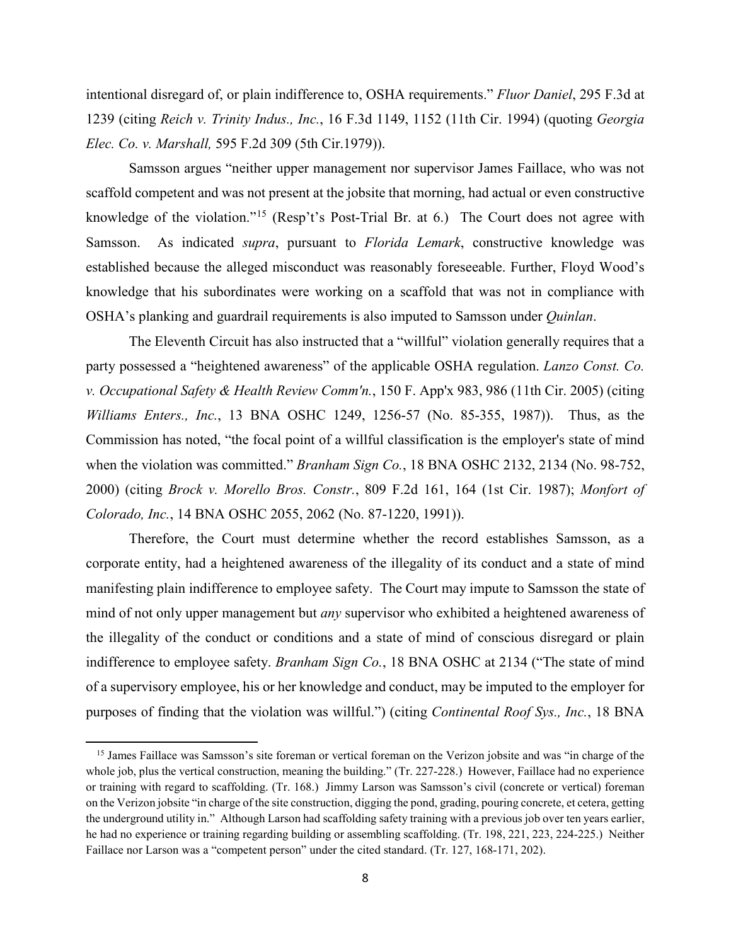intentional disregard of, or plain indifference to, OSHA requirements." *Fluor Daniel*, 295 F.3d at 1239 (citing *Reich v. Trinity Indus., Inc.*, 16 F.3d 1149, 1152 (11th Cir. 1994) (quoting *Georgia Elec. Co. v. Marshall,* 595 F.2d 309 (5th Cir.1979)).

Samsson argues "neither upper management nor supervisor James Faillace, who was not scaffold competent and was not present at the jobsite that morning, had actual or even constructive knowledge of the violation."[15](#page-7-0) (Resp't's Post-Trial Br. at 6.) The Court does not agree with Samsson. As indicated *supra*, pursuant to *Florida Lemark*, constructive knowledge was established because the alleged misconduct was reasonably foreseeable. Further, Floyd Wood's knowledge that his subordinates were working on a scaffold that was not in compliance with OSHA's planking and guardrail requirements is also imputed to Samsson under *Quinlan*.

The Eleventh Circuit has also instructed that a "willful" violation generally requires that a party possessed a "heightened awareness" of the applicable OSHA regulation. *Lanzo Const. Co. v. Occupational Safety & Health Review Comm'n.*, 150 F. App'x 983, 986 (11th Cir. 2005) (citing *Williams Enters., Inc.*, 13 BNA OSHC 1249, 1256-57 (No. 85-355, 1987)). Thus, as the Commission has noted, "the focal point of a willful classification is the employer's state of mind when the violation was committed." *Branham Sign Co.*, 18 BNA OSHC 2132, 2134 (No. 98-752, 2000) (citing *Brock v. Morello Bros. Constr.*, 809 F.2d 161, 164 (1st Cir. 1987); *Monfort of Colorado, Inc.*, 14 BNA OSHC 2055, 2062 (No. 87-1220, 1991)).

Therefore, the Court must determine whether the record establishes Samsson, as a corporate entity, had a heightened awareness of the illegality of its conduct and a state of mind manifesting plain indifference to employee safety. The Court may impute to Samsson the state of mind of not only upper management but *any* supervisor who exhibited a heightened awareness of the illegality of the conduct or conditions and a state of mind of conscious disregard or plain indifference to employee safety. *Branham Sign Co.*, 18 BNA OSHC at 2134 ("The state of mind of a supervisory employee, his or her knowledge and conduct, may be imputed to the employer for purposes of finding that the violation was willful.") (citing *Continental Roof Sys., Inc.*, 18 BNA

 $\overline{a}$ 

<span id="page-7-0"></span><sup>&</sup>lt;sup>15</sup> James Faillace was Samsson's site foreman or vertical foreman on the Verizon jobsite and was "in charge of the whole job, plus the vertical construction, meaning the building." (Tr. 227-228.) However, Faillace had no experience or training with regard to scaffolding. (Tr. 168.) Jimmy Larson was Samsson's civil (concrete or vertical) foreman on the Verizon jobsite "in charge of the site construction, digging the pond, grading, pouring concrete, et cetera, getting the underground utility in." Although Larson had scaffolding safety training with a previous job over ten years earlier, he had no experience or training regarding building or assembling scaffolding. (Tr. 198, 221, 223, 224-225.) Neither Faillace nor Larson was a "competent person" under the cited standard. (Tr. 127, 168-171, 202).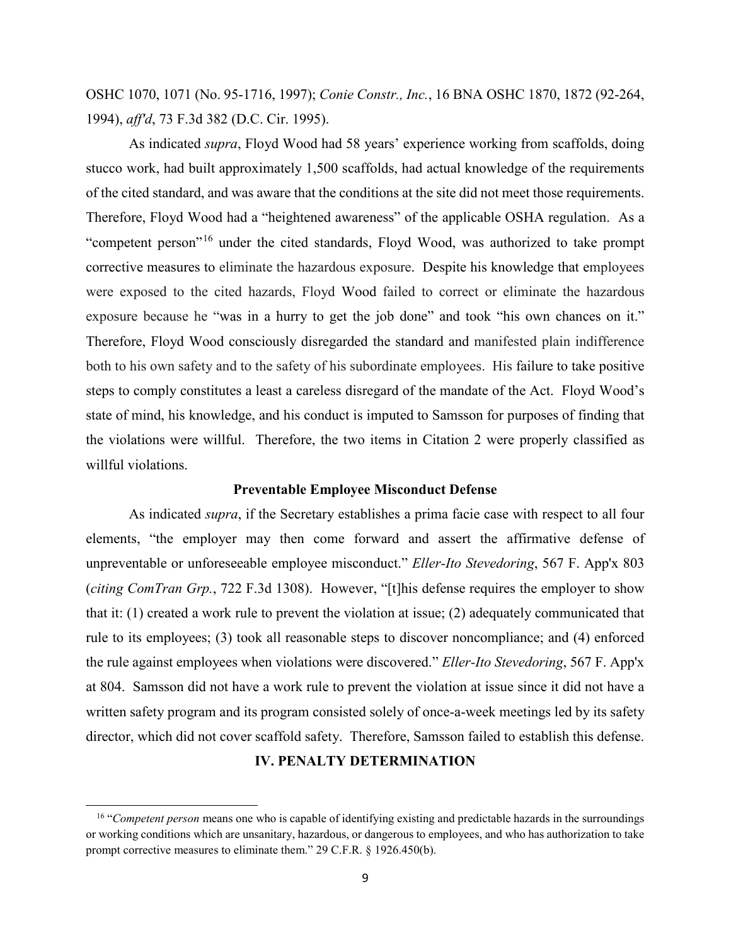OSHC 1070, 1071 (No. 95-1716, 1997); *Conie Constr., Inc.*, 16 BNA OSHC 1870, 1872 (92-264, 1994), *aff'd*, 73 F.3d 382 (D.C. Cir. 1995).

As indicated *supra*, Floyd Wood had 58 years' experience working from scaffolds, doing stucco work, had built approximately 1,500 scaffolds, had actual knowledge of the requirements of the cited standard, and was aware that the conditions at the site did not meet those requirements. Therefore, Floyd Wood had a "heightened awareness" of the applicable OSHA regulation. As a "competent person"[16](#page-8-0) under the cited standards, Floyd Wood, was authorized to take prompt corrective measures to eliminate the hazardous exposure. Despite his knowledge that employees were exposed to the cited hazards, Floyd Wood failed to correct or eliminate the hazardous exposure because he "was in a hurry to get the job done" and took "his own chances on it." Therefore, Floyd Wood consciously disregarded the standard and manifested plain indifference both to his own safety and to the safety of his subordinate employees. His failure to take positive steps to comply constitutes a least a careless disregard of the mandate of the Act. Floyd Wood's state of mind, his knowledge, and his conduct is imputed to Samsson for purposes of finding that the violations were willful. Therefore, the two items in Citation 2 were properly classified as willful violations.

#### **Preventable Employee Misconduct Defense**

As indicated *supra*, if the Secretary establishes a prima facie case with respect to all four elements, "the employer may then come forward and assert the affirmative defense of unpreventable or unforeseeable employee misconduct." *Eller-Ito Stevedoring*, 567 F. App'x 803 (*citing ComTran Grp.*, 722 F.3d 1308). However, "[t]his defense requires the employer to show that it: (1) created a work rule to prevent the violation at issue; (2) adequately communicated that rule to its employees; (3) took all reasonable steps to discover noncompliance; and (4) enforced the rule against employees when violations were discovered." *Eller-Ito Stevedoring*, 567 F. App'x at 804. Samsson did not have a work rule to prevent the violation at issue since it did not have a written safety program and its program consisted solely of once-a-week meetings led by its safety director, which did not cover scaffold safety. Therefore, Samsson failed to establish this defense.

## **IV. PENALTY DETERMINATION**

 $\overline{a}$ 

<span id="page-8-0"></span><sup>16 &</sup>quot;*Competent person* means one who is capable of identifying existing and predictable hazards in the surroundings or working conditions which are unsanitary, hazardous, or dangerous to employees, and who has authorization to take prompt corrective measures to eliminate them." 29 C.F.R. § 1926.450(b).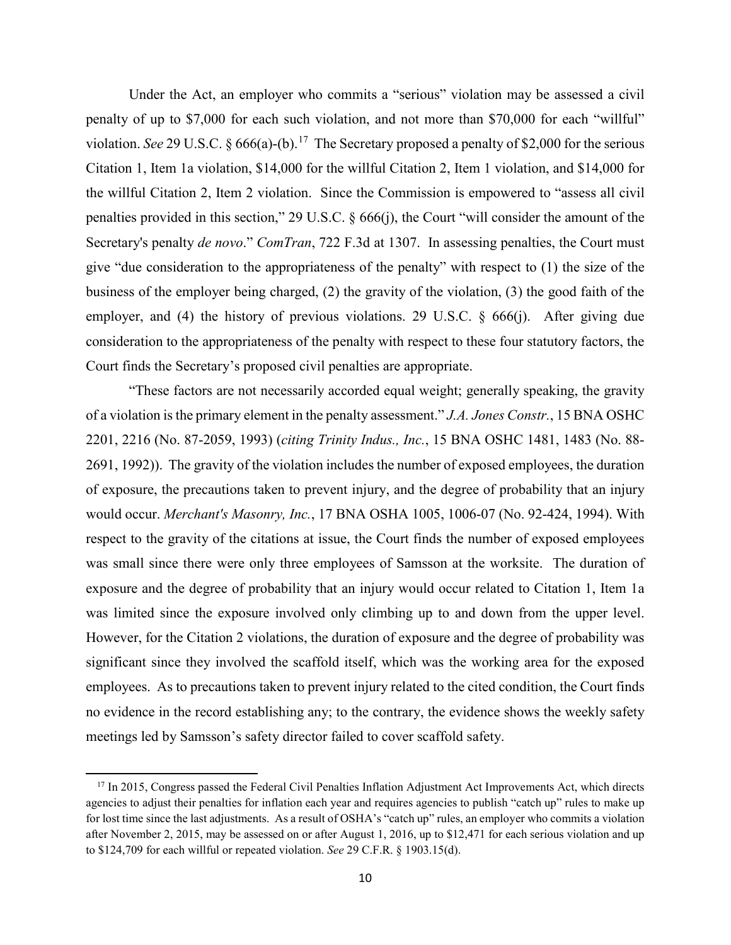Under the Act, an employer who commits a "serious" violation may be assessed a civil penalty of up to \$7,000 for each such violation, and not more than \$70,000 for each "willful" violation. *See* 29 U.S.C. § 666(a)-(b).<sup>[17](#page-9-0)</sup> The Secretary proposed a penalty of \$2,000 for the serious Citation 1, Item 1a violation, \$14,000 for the willful Citation 2, Item 1 violation, and \$14,000 for the willful Citation 2, Item 2 violation. Since the Commission is empowered to "assess all civil penalties provided in this section," 29 U.S.C. § 666(j), the Court "will consider the amount of the Secretary's penalty *de novo*." *ComTran*, 722 F.3d at 1307. In assessing penalties, the Court must give "due consideration to the appropriateness of the penalty" with respect to (1) the size of the business of the employer being charged, (2) the gravity of the violation, (3) the good faith of the employer, and (4) the history of previous violations. 29 U.S.C. § 666(j). After giving due consideration to the appropriateness of the penalty with respect to these four statutory factors, the Court finds the Secretary's proposed civil penalties are appropriate.

"These factors are not necessarily accorded equal weight; generally speaking, the gravity of a violation is the primary element in the penalty assessment." *J.A. Jones Constr.*, 15 BNA OSHC 2201, 2216 (No. 87-2059, 1993) (*citing Trinity Indus., Inc.*, 15 BNA OSHC 1481, 1483 (No. 88- 2691, 1992)). The gravity of the violation includes the number of exposed employees, the duration of exposure, the precautions taken to prevent injury, and the degree of probability that an injury would occur. *Merchant's Masonry, Inc.*, 17 BNA OSHA 1005, 1006-07 (No. 92-424, 1994). With respect to the gravity of the citations at issue, the Court finds the number of exposed employees was small since there were only three employees of Samsson at the worksite. The duration of exposure and the degree of probability that an injury would occur related to Citation 1, Item 1a was limited since the exposure involved only climbing up to and down from the upper level. However, for the Citation 2 violations, the duration of exposure and the degree of probability was significant since they involved the scaffold itself, which was the working area for the exposed employees. As to precautions taken to prevent injury related to the cited condition, the Court finds no evidence in the record establishing any; to the contrary, the evidence shows the weekly safety meetings led by Samsson's safety director failed to cover scaffold safety.

l

<span id="page-9-0"></span><sup>&</sup>lt;sup>17</sup> In 2015, Congress passed the Federal Civil Penalties Inflation Adjustment Act Improvements Act, which directs agencies to adjust their penalties for inflation each year and requires agencies to publish "catch up" rules to make up for lost time since the last adjustments. As a result of OSHA's "catch up" rules, an employer who commits a violation after November 2, 2015, may be assessed on or after August 1, 2016, up to \$12,471 for each serious violation and up to \$124,709 for each willful or repeated violation. *See* 29 C.F.R. § 1903.15(d).